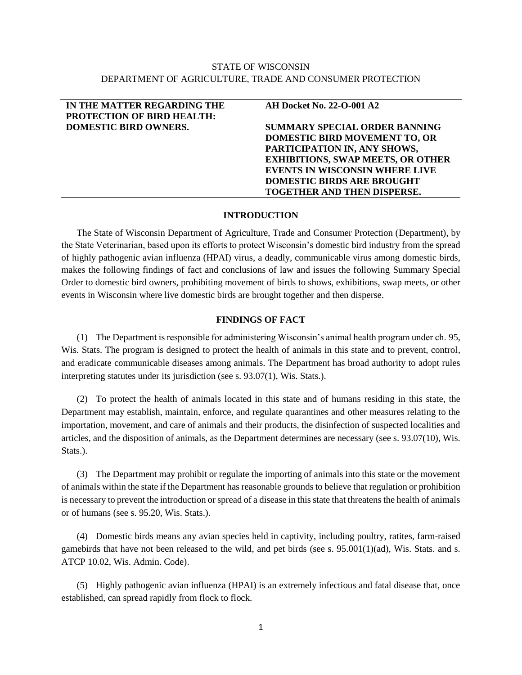# STATE OF WISCONSIN DEPARTMENT OF AGRICULTURE, TRADE AND CONSUMER PROTECTION

| IN THE MATTER REGARDING THE       | <b>AH Docket No. 22-O-001 A2</b>         |
|-----------------------------------|------------------------------------------|
| <b>PROTECTION OF BIRD HEALTH:</b> |                                          |
| <b>DOMESTIC BIRD OWNERS.</b>      | <b>SUMMARY SPECIAL ORDER BANNING</b>     |
|                                   | DOMESTIC BIRD MOVEMENT TO, OR            |
|                                   | PARTICIPATION IN, ANY SHOWS,             |
|                                   | <b>EXHIBITIONS, SWAP MEETS, OR OTHER</b> |
|                                   | <b>EVENTS IN WISCONSIN WHERE LIVE</b>    |
|                                   | <b>DOMESTIC BIRDS ARE BROUGHT</b>        |
|                                   | TOGETHER AND THEN DISPERSE.              |

## **INTRODUCTION**

The State of Wisconsin Department of Agriculture, Trade and Consumer Protection (Department), by the State Veterinarian, based upon its efforts to protect Wisconsin's domestic bird industry from the spread of highly pathogenic avian influenza (HPAI) virus, a deadly, communicable virus among domestic birds, makes the following findings of fact and conclusions of law and issues the following Summary Special Order to domestic bird owners, prohibiting movement of birds to shows, exhibitions, swap meets, or other events in Wisconsin where live domestic birds are brought together and then disperse.

## **FINDINGS OF FACT**

(1) The Department is responsible for administering Wisconsin's animal health program under ch. 95, Wis. Stats. The program is designed to protect the health of animals in this state and to prevent, control, and eradicate communicable diseases among animals. The Department has broad authority to adopt rules interpreting statutes under its jurisdiction (see s. 93.07(1), Wis. Stats.).

(2) To protect the health of animals located in this state and of humans residing in this state, the Department may establish, maintain, enforce, and regulate quarantines and other measures relating to the importation, movement, and care of animals and their products, the disinfection of suspected localities and articles, and the disposition of animals, as the Department determines are necessary (see s. 93.07(10), Wis. Stats.).

(3) The Department may prohibit or regulate the importing of animals into this state or the movement of animals within the state if the Department has reasonable grounds to believe that regulation or prohibition is necessary to prevent the introduction or spread of a disease in this state that threatens the health of animals or of humans (see s. 95.20, Wis. Stats.).

(4) Domestic birds means any avian species held in captivity, including poultry, ratites, farm-raised gamebirds that have not been released to the wild, and pet birds (see s.  $95.001(1)(ad)$ , Wis. Stats. and s. ATCP 10.02, Wis. Admin. Code).

(5) Highly pathogenic avian influenza (HPAI) is an extremely infectious and fatal disease that, once established, can spread rapidly from flock to flock.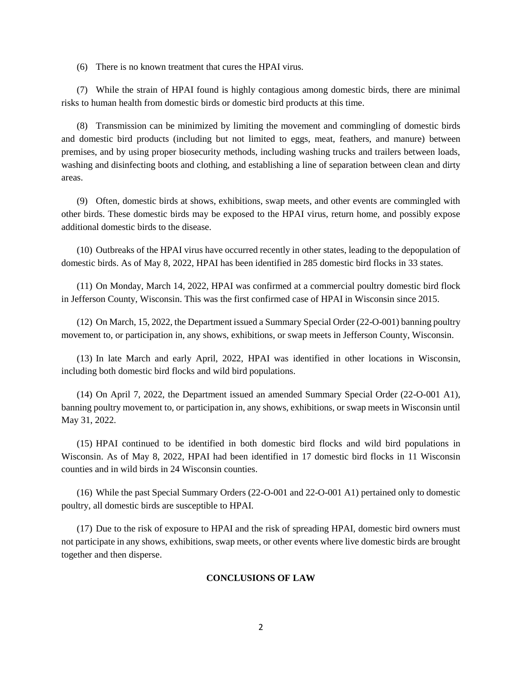(6) There is no known treatment that cures the HPAI virus.

(7) While the strain of HPAI found is highly contagious among domestic birds, there are minimal risks to human health from domestic birds or domestic bird products at this time.

(8) Transmission can be minimized by limiting the movement and commingling of domestic birds and domestic bird products (including but not limited to eggs, meat, feathers, and manure) between premises, and by using proper biosecurity methods, including washing trucks and trailers between loads, washing and disinfecting boots and clothing, and establishing a line of separation between clean and dirty areas.

(9) Often, domestic birds at shows, exhibitions, swap meets, and other events are commingled with other birds. These domestic birds may be exposed to the HPAI virus, return home, and possibly expose additional domestic birds to the disease.

(10) Outbreaks of the HPAI virus have occurred recently in other states, leading to the depopulation of domestic birds. As of May 8, 2022, HPAI has been identified in 285 domestic bird flocks in 33 states.

(11) On Monday, March 14, 2022, HPAI was confirmed at a commercial poultry domestic bird flock in Jefferson County, Wisconsin. This was the first confirmed case of HPAI in Wisconsin since 2015.

(12) On March, 15, 2022, the Department issued a Summary Special Order (22-O-001) banning poultry movement to, or participation in, any shows, exhibitions, or swap meets in Jefferson County, Wisconsin.

(13) In late March and early April, 2022, HPAI was identified in other locations in Wisconsin, including both domestic bird flocks and wild bird populations.

(14) On April 7, 2022, the Department issued an amended Summary Special Order (22-O-001 A1), banning poultry movement to, or participation in, any shows, exhibitions, or swap meets in Wisconsin until May 31, 2022.

(15) HPAI continued to be identified in both domestic bird flocks and wild bird populations in Wisconsin. As of May 8, 2022, HPAI had been identified in 17 domestic bird flocks in 11 Wisconsin counties and in wild birds in 24 Wisconsin counties.

(16) While the past Special Summary Orders (22-O-001 and 22-O-001 A1) pertained only to domestic poultry, all domestic birds are susceptible to HPAI.

(17) Due to the risk of exposure to HPAI and the risk of spreading HPAI, domestic bird owners must not participate in any shows, exhibitions, swap meets, or other events where live domestic birds are brought together and then disperse.

## **CONCLUSIONS OF LAW**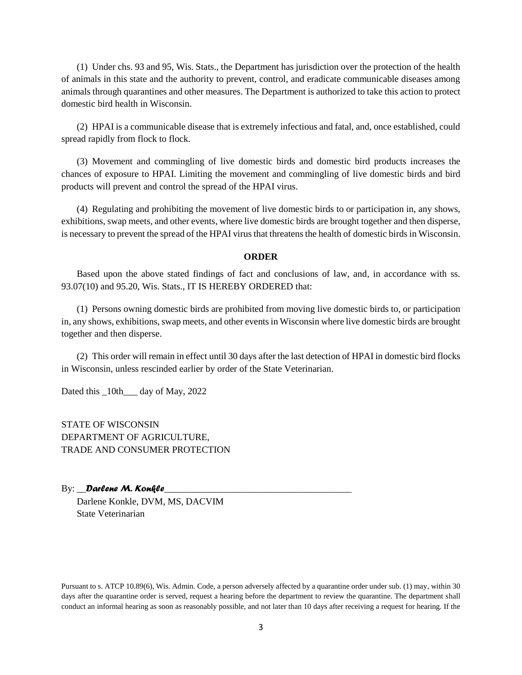(1) Under chs. 93 and 95, Wis. Stats., the Department has jurisdiction over the protection of the health of animals in this state and the authority to prevent, control, and eradicate communicable diseases among animals through quarantines and other measures. The Department is authorized to take this action to protect domestic bird health in Wisconsin.

(2) HPAI is a communicable disease that is extremely infectious and fatal, and, once established, could spread rapidly from flock to flock.

(3) Movement and commingling of live domestic birds and domestic bird products increases the chances of exposure to HPAI. Limiting the movement and commingling of live domestic birds and bird products will prevent and control the spread of the HPAI virus.

(4) Regulating and prohibiting the movement of live domestic birds to or participation in, any shows, exhibitions, swap meets, and other events, where live domestic birds are brought together and then disperse, is necessary to prevent the spread of the HPAI virus that threatens the health of domestic birds in Wisconsin.

#### **ORDER**

Based upon the above stated findings of fact and conclusions of law, and, in accordance with ss. 93.07(10) and 95.20, Wis. Stats., IT IS HEREBY ORDERED that:

(1) Persons owning domestic birds are prohibited from moving live domestic birds to, or participation in, any shows, exhibitions, swap meets, and other events in Wisconsin where live domestic birds are brought together and then disperse.

(2) This order will remain in effect until 30 days after the last detection of HPAI in domestic bird flocks in Wisconsin, unless rescinded earlier by order of the State Veterinarian.

Dated this  $10th$  day of May, 2022

STATE OF WISCONSIN DEPARTMENT OF AGRICULTURE, TRADE AND CONSUMER PROTECTION

#### By: Darlene M. Konkle

Darlene Konkle, DVM, MS, DACVIM State Veterinarian

Pursuant to s. ATCP 10.89(6), Wis. Admin. Code, a person adversely affected by a quarantine order under sub. (1) may, within 30 days after the quarantine order is served, request a hearing before the department to review the quarantine. The department shall conduct an informal hearing as soon as reasonably possible, and not later than 10 days after receiving a request for hearing. If the